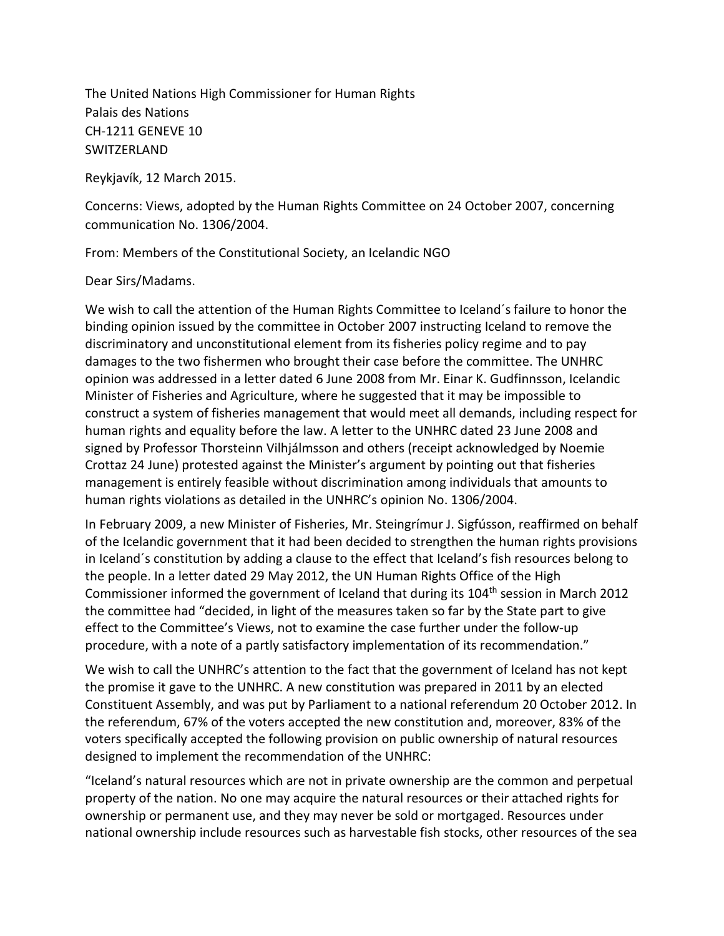The United Nations High Commissioner for Human Rights Palais des Nations CH-1211 GENEVE 10 SWITZERLAND

Reykjavík, 12 March 2015.

Concerns: Views, adopted by the Human Rights Committee on 24 October 2007, concerning communication No. 1306/2004.

From: Members of the Constitutional Society, an Icelandic NGO

## Dear Sirs/Madams.

We wish to call the attention of the Human Rights Committee to Iceland´s failure to honor the binding opinion issued by the committee in October 2007 instructing Iceland to remove the discriminatory and unconstitutional element from its fisheries policy regime and to pay damages to the two fishermen who brought their case before the committee. The UNHRC opinion was addressed in a letter dated 6 June 2008 from Mr. Einar K. Gudfinnsson, Icelandic Minister of Fisheries and Agriculture, where he suggested that it may be impossible to construct a system of fisheries management that would meet all demands, including respect for human rights and equality before the law. A letter to the UNHRC dated 23 June 2008 and signed by Professor Thorsteinn Vilhjálmsson and others (receipt acknowledged by Noemie Crottaz 24 June) protested against the Minister's argument by pointing out that fisheries management is entirely feasible without discrimination among individuals that amounts to human rights violations as detailed in the UNHRC's opinion No. 1306/2004.

In February 2009, a new Minister of Fisheries, Mr. Steingrímur J. Sigfússon, reaffirmed on behalf of the Icelandic government that it had been decided to strengthen the human rights provisions in Iceland´s constitution by adding a clause to the effect that Iceland's fish resources belong to the people. In a letter dated 29 May 2012, the UN Human Rights Office of the High Commissioner informed the government of Iceland that during its 104<sup>th</sup> session in March 2012 the committee had "decided, in light of the measures taken so far by the State part to give effect to the Committee's Views, not to examine the case further under the follow-up procedure, with a note of a partly satisfactory implementation of its recommendation."

We wish to call the UNHRC's attention to the fact that the government of Iceland has not kept the promise it gave to the UNHRC. A new constitution was prepared in 2011 by an elected Constituent Assembly, and was put by Parliament to a national referendum 20 October 2012. In the referendum, 67% of the voters accepted the new constitution and, moreover, 83% of the voters specifically accepted the following provision on public ownership of natural resources designed to implement the recommendation of the UNHRC:

"Iceland's natural resources which are not in private ownership are the common and perpetual property of the nation. No one may acquire the natural resources or their attached rights for ownership or permanent use, and they may never be sold or mortgaged. Resources under national ownership include resources such as harvestable fish stocks, other resources of the sea